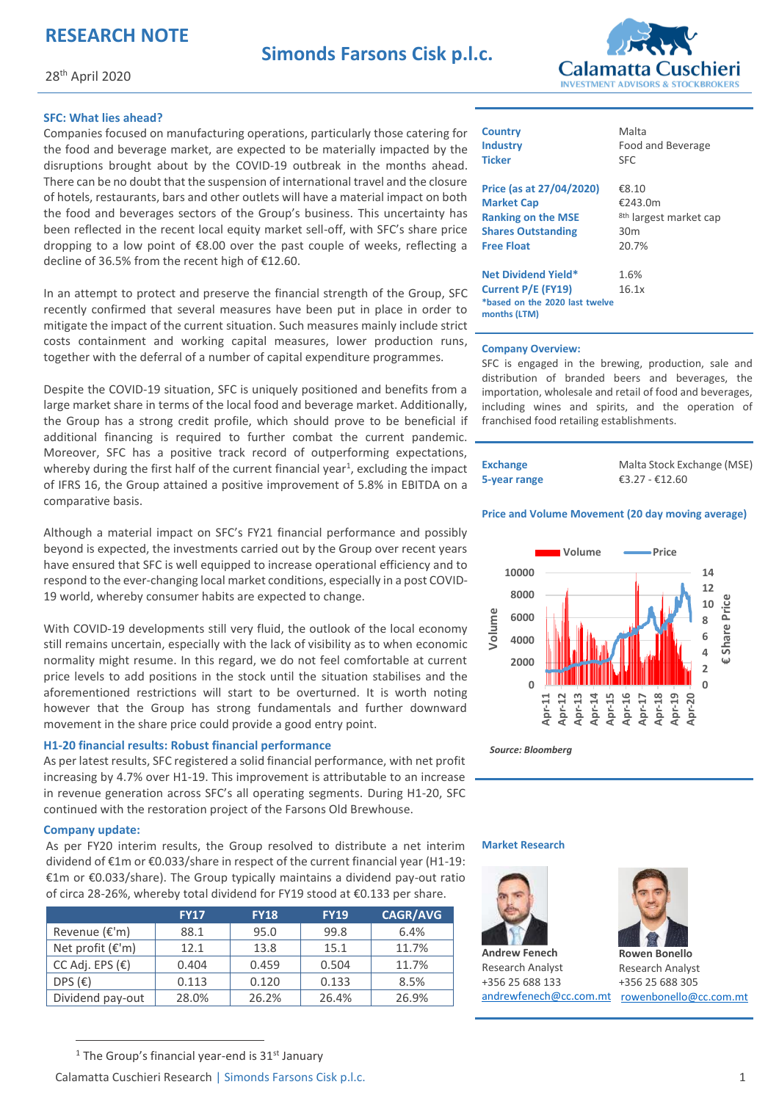# **RESEARCH NOTE**



28th April 2020

### **SFC: What lies ahead?**

Companies focused on manufacturing operations, particularly those catering for the food and beverage market, are expected to be materially impacted by the disruptions brought about by the COVID-19 outbreak in the months ahead. There can be no doubt that the suspension of international travel and the closure of hotels, restaurants, bars and other outlets will have a material impact on both the food and beverages sectors of the Group's business. This uncertainty has been reflected in the recent local equity market sell-off, with SFC's share price dropping to a low point of €8.00 over the past couple of weeks, reflecting a decline of 36.5% from the recent high of €12.60.

In an attempt to protect and preserve the financial strength of the Group, SFC recently confirmed that several measures have been put in place in order to mitigate the impact of the current situation. Such measures mainly include strict costs containment and working capital measures, lower production runs, together with the deferral of a number of capital expenditure programmes.

Despite the COVID-19 situation, SFC is uniquely positioned and benefits from a large market share in terms of the local food and beverage market. Additionally, the Group has a strong credit profile, which should prove to be beneficial if additional financing is required to further combat the current pandemic. Moreover, SFC has a positive track record of outperforming expectations, whereby during the first half of the current financial year<sup>1</sup>, excluding the impact of IFRS 16, the Group attained a positive improvement of 5.8% in EBITDA on a comparative basis.

Although a material impact on SFC's FY21 financial performance and possibly beyond is expected, the investments carried out by the Group over recent years have ensured that SFC is well equipped to increase operational efficiency and to respond to the ever-changing local market conditions, especially in a post COVID-19 world, whereby consumer habits are expected to change.

With COVID-19 developments still very fluid, the outlook of the local economy still remains uncertain, especially with the lack of visibility as to when economic normality might resume. In this regard, we do not feel comfortable at current price levels to add positions in the stock until the situation stabilises and the aforementioned restrictions will start to be overturned. It is worth noting however that the Group has strong fundamentals and further downward movement in the share price could provide a good entry point.

### **H1-20 financial results: Robust financial performance**

As per latest results, SFC registered a solid financial performance, with net profit increasing by 4.7% over H1-19. This improvement is attributable to an increase in revenue generation across SFC's all operating segments. During H1-20, SFC continued with the restoration project of the Farsons Old Brewhouse.

#### **Company update:**

As per FY20 interim results, the Group resolved to distribute a net interim dividend of €1m or €0.033/share in respect of the current financial year (H1-19: €1m or €0.033/share). The Group typically maintains a dividend pay-out ratio of circa 28-26%, whereby total dividend for FY19 stood at €0.133 per share.

|                           | <b>FY17</b> | <b>FY18</b> | <b>FY19</b> | <b>CAGR/AVG</b> |
|---------------------------|-------------|-------------|-------------|-----------------|
| Revenue (€'m)             | 88.1        | 95.0        | 99.8        | 6.4%            |
| Net profit $(\epsilon'm)$ | 12.1        | 13.8        | 15.1        | 11.7%           |
| CC Adj. EPS $(\epsilon)$  | 0.404       | 0.459       | 0.504       | 11.7%           |
| DPS $(E)$                 | 0.113       | 0.120       | 0.133       | 8.5%            |
| Dividend pay-out          | 28.0%       | 26.2%       | 26.4%       | 26.9%           |

| <b>Country</b>                                 | Malta                             |
|------------------------------------------------|-----------------------------------|
| <b>Industry</b>                                | Food and Beverage                 |
| <b>Ticker</b>                                  | SFC                               |
| Price (as at 27/04/2020)                       | €8.10                             |
| <b>Market Cap</b>                              | €243.0m                           |
| <b>Ranking on the MSE</b>                      | <sup>8th</sup> largest market cap |
| <b>Shares Outstanding</b>                      | 30 <sub>m</sub>                   |
| <b>Free Float</b>                              | 20.7%                             |
| <b>Net Dividend Yield*</b>                     | 1.6%                              |
| Current P/E (FY19)                             | 16.1x                             |
| *based on the 2020 last twelve<br>months (LTM) |                                   |
|                                                |                                   |

#### **Company Overview:**

SFC is engaged in the brewing, production, sale and distribution of branded beers and beverages, the importation, wholesale and retail of food and beverages, including wines and spirits, and the operation of franchised food retailing establishments.

| <b>Exchange</b> | Ma  |
|-----------------|-----|
| 5-year range    | €3. |

Ita Stock Exchange (MSE) €3.27 - €12.60

#### **Price and Volume Movement (20 day moving average)**



*Source: Bloomberg* 

#### **Market Research**



**Andrew Fenech**  Research Analyst +356 25 688 133



[andrewfenech@cc.com.mt](mailto:andrewfenech@cc.com.mt) rowenbonello@cc.com.mt **Rowen Bonello**  Research Analyst +356 25 688 305